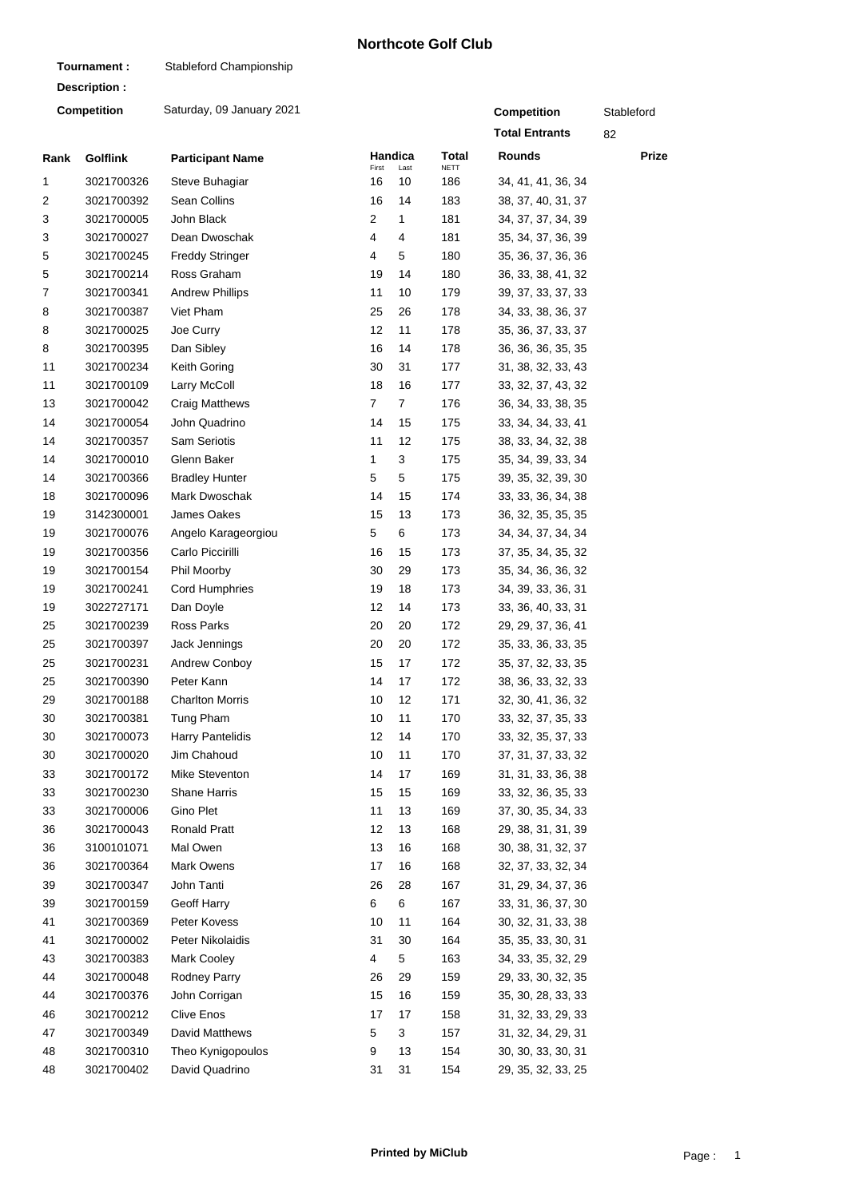## **Northcote Golf Club**

| Tournament:        |                 | Stableford Championship   |             |                |                    |                       |       |
|--------------------|-----------------|---------------------------|-------------|----------------|--------------------|-----------------------|-------|
|                    | Description:    |                           |             |                |                    |                       |       |
| <b>Competition</b> |                 | Saturday, 09 January 2021 | Competition | Stableford     |                    |                       |       |
|                    |                 |                           |             |                |                    | <b>Total Entrants</b> | 82    |
| Rank               | <b>Golflink</b> | <b>Participant Name</b>   |             | Handica        | Total              | <b>Rounds</b>         | Prize |
| 1                  | 3021700326      | Steve Buhagiar            | First<br>16 | Last<br>10     | <b>NETT</b><br>186 | 34, 41, 41, 36, 34    |       |
| 2                  | 3021700392      | Sean Collins              | 16          | 14             | 183                | 38, 37, 40, 31, 37    |       |
| 3                  | 3021700005      | John Black                | 2           | 1              | 181                | 34, 37, 37, 34, 39    |       |
| 3                  | 3021700027      | Dean Dwoschak             | 4           | 4              | 181                | 35, 34, 37, 36, 39    |       |
| 5                  | 3021700245      | <b>Freddy Stringer</b>    | 4           | 5              | 180                | 35, 36, 37, 36, 36    |       |
| 5                  | 3021700214      | Ross Graham               | 19          | 14             | 180                | 36, 33, 38, 41, 32    |       |
| 7                  | 3021700341      | <b>Andrew Phillips</b>    | 11          | 10             | 179                | 39, 37, 33, 37, 33    |       |
| 8                  | 3021700387      | Viet Pham                 | 25          | 26             | 178                | 34, 33, 38, 36, 37    |       |
| 8                  | 3021700025      | Joe Curry                 | 12          | 11             | 178                | 35, 36, 37, 33, 37    |       |
| 8                  | 3021700395      | Dan Sibley                | 16          | 14             | 178                | 36, 36, 36, 35, 35    |       |
| 11                 | 3021700234      | Keith Goring              | 30          | 31             | 177                | 31, 38, 32, 33, 43    |       |
| 11                 | 3021700109      | Larry McColl              | 18          | 16             | 177                | 33, 32, 37, 43, 32    |       |
| 13                 | 3021700042      | <b>Craig Matthews</b>     | 7           | $\overline{7}$ | 176                | 36, 34, 33, 38, 35    |       |
| 14                 | 3021700054      | John Quadrino             | 14          | 15             | 175                | 33, 34, 34, 33, 41    |       |
| 14                 | 3021700357      | <b>Sam Seriotis</b>       | 11          | 12             | 175                | 38, 33, 34, 32, 38    |       |
| 14                 | 3021700010      | Glenn Baker               | 1           | 3              | 175                | 35, 34, 39, 33, 34    |       |
| 14                 | 3021700366      | <b>Bradley Hunter</b>     | 5           | 5              | 175                | 39, 35, 32, 39, 30    |       |
| 18                 | 3021700096      | Mark Dwoschak             | 14          | 15             | 174                | 33, 33, 36, 34, 38    |       |
| 19                 | 3142300001      | James Oakes               | 15          | 13             | 173                | 36, 32, 35, 35, 35    |       |
| 19                 | 3021700076      | Angelo Karageorgiou       | 5           | 6              | 173                | 34, 34, 37, 34, 34    |       |
| 19                 | 3021700356      | Carlo Piccirilli          | 16          | 15             | 173                | 37, 35, 34, 35, 32    |       |
| 19                 | 3021700154      | Phil Moorby               | 30          | 29             | 173                | 35, 34, 36, 36, 32    |       |
| 19                 | 3021700241      | <b>Cord Humphries</b>     | 19          | 18             | 173                | 34, 39, 33, 36, 31    |       |
| 19                 | 3022727171      | Dan Doyle                 | 12          | 14             | 173                | 33, 36, 40, 33, 31    |       |
| 25                 | 3021700239      | Ross Parks                | 20          | 20             | 172                | 29, 29, 37, 36, 41    |       |
| 25                 | 3021700397      | Jack Jennings             | 20          | 20             | 172                | 35, 33, 36, 33, 35    |       |
| 25                 | 3021700231      | Andrew Conboy             | 15          | 17             | 172                | 35, 37, 32, 33, 35    |       |
| 25                 | 3021700390      | Peter Kann                | 14          | 17             | 172                | 38, 36, 33, 32, 33    |       |
| 29                 | 3021700188      | <b>Charlton Morris</b>    | 10          | 12             | 171                | 32, 30, 41, 36, 32    |       |
| 30                 | 3021700381      | Tung Pham                 | 10          | 11             | 170                | 33, 32, 37, 35, 33    |       |
| 30                 | 3021700073      | Harry Pantelidis          | 12          | 14             | 170                | 33, 32, 35, 37, 33    |       |
| 30                 | 3021700020      | Jim Chahoud               | 10          | 11             | 170                | 37, 31, 37, 33, 32    |       |
| 33                 | 3021700172      | Mike Steventon            | 14          | 17             | 169                | 31, 31, 33, 36, 38    |       |
| 33                 | 3021700230      | Shane Harris              | 15          | 15             | 169                | 33, 32, 36, 35, 33    |       |
| 33                 | 3021700006      | Gino Plet                 | 11          | 13             | 169                | 37, 30, 35, 34, 33    |       |
| 36                 | 3021700043      | <b>Ronald Pratt</b>       | 12          | 13             | 168                | 29, 38, 31, 31, 39    |       |
| 36                 | 3100101071      | Mal Owen                  | 13          | 16             | 168                | 30, 38, 31, 32, 37    |       |
| 36                 | 3021700364      | Mark Owens                | 17          | 16             | 168                | 32, 37, 33, 32, 34    |       |
| 39                 | 3021700347      | John Tanti                | 26          | 28             | 167                | 31, 29, 34, 37, 36    |       |
| 39                 | 3021700159      | Geoff Harry               | 6           | 6              | 167                | 33, 31, 36, 37, 30    |       |
| 41                 | 3021700369      | Peter Kovess              | 10          | 11             | 164                | 30, 32, 31, 33, 38    |       |
| 41                 | 3021700002      | Peter Nikolaidis          | 31          | 30             | 164                | 35, 35, 33, 30, 31    |       |
| 43                 | 3021700383      | Mark Cooley               | 4           | 5              | 163                | 34, 33, 35, 32, 29    |       |
| 44                 | 3021700048      | Rodney Parry              | 26          | 29             | 159                | 29, 33, 30, 32, 35    |       |
| 44                 | 3021700376      | John Corrigan             | 15          | 16             | 159                | 35, 30, 28, 33, 33    |       |
| 46                 | 3021700212      | <b>Clive Enos</b>         | 17          | 17             | 158                | 31, 32, 33, 29, 33    |       |
| 47                 | 3021700349      | David Matthews            | 5           | 3              | 157                | 31, 32, 34, 29, 31    |       |
| 48                 | 3021700310      | Theo Kynigopoulos         | 9           | 13             | 154                | 30, 30, 33, 30, 31    |       |
| 48                 | 3021700402      | David Quadrino            | 31          | 31             | 154                | 29, 35, 32, 33, 25    |       |